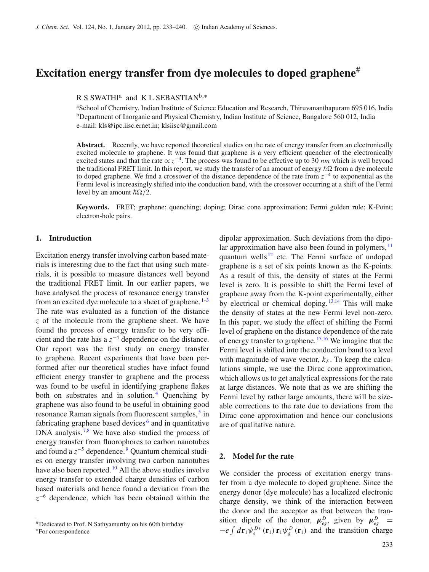# **Excitation energy transfer from dye molecules to doped graphene**#

## R S SWATHI<sup>a</sup> and K L SEBASTIAN<sup>b,\*</sup>

aSchool of Chemistry, Indian Institute of Science Education and Research, Thiruvananthapuram 695 016, India <sup>b</sup>Department of Inorganic and Physical Chemistry, Indian Institute of Science, Bangalore 560 012, India e-mail: kls@ipc.iisc.ernet.in; klsiisc@gmail.com

Abstract. Recently, we have reported theoretical studies on the rate of energy transfer from an electronically excited molecule to graphene. It was found that graphene is a very efficient quencher of the electronically excited states and that the rate ∝ *z*<sup>−</sup>4. The process was found to be effective up to 30 *nm* which is well beyond the traditional FRET limit. In this report, we study the transfer of an amount of energy  $\hbar\Omega$  from a dye molecule to doped graphene. We find a crossover of the distance dependence of the rate from *z*−<sup>4</sup> to exponential as the Fermi level is increasingly shifted into the conduction band, with the crossover occurring at a shift of the Fermi level by an amount  $\hbar \Omega / 2$ .

**Keywords.** FRET; graphene; quenching; doping; Dirac cone approximation; Fermi golden rule; K-Point; electron-hole pairs.

## **1. Introduction**

Excitation energy transfer involving carbon based materials is interesting due to the fact that using such materials, it is possible to measure distances well beyond the traditional FRET limit. In our earlier papers, we have analysed the process of resonance energy transfer from an excited dye molecule to a sheet of graphene.  $1-3$  $1-3$ The rate was evaluated as a function of the distance *z* of the molecule from the graphene sheet. We have found the process of energy transfer to be very efficient and the rate has a *z*<sup>−</sup><sup>4</sup> dependence on the distance. Our report was the first study on energy transfer to graphene. Recent experiments that have been performed after our theoretical studies have infact found efficient energy transfer to graphene and the process was found to be useful in identifying graphene flakes both on substrates and in solution.<sup>[4](#page-7-2)</sup> Quenching by graphene was also found to be useful in obtaining good resonance Raman signals from fluorescent samples,<sup>[5](#page-7-3)</sup> in fabricating graphene based devices<sup> $6$ </sup> and in quantitative DNA analysis.<sup>[7](#page-7-5)[,8](#page-7-6)</sup> We have also studied the process of energy transfer from fluorophores to carbon nanotubes and found a *z*<sup>−</sup><sup>5</sup> dependence. [9](#page-7-7) Quantum chemical studies on energy transfer involving two carbon nanotubes have also been reported.  $^{10}$  $^{10}$  $^{10}$  All the above studies involve energy transfer to extended charge densities of carbon based materials and hence found a deviation from the *z*<sup>−</sup><sup>6</sup> dependence, which has been obtained within the

dipolar approximation. Such deviations from the dipolar approximation have also been found in polymers,  $\frac{11}{11}$  $\frac{11}{11}$  $\frac{11}{11}$ quantum wells  $12$  etc. The Fermi surface of undoped graphene is a set of six points known as the K-points. As a result of this, the density of states at the Fermi level is zero. It is possible to shift the Fermi level of graphene away from the K-point experimentally, either by electrical or chemical doping.  $13,14$  $13,14$  This will make the density of states at the new Fermi level non-zero. In this paper, we study the effect of shifting the Fermi level of graphene on the distance dependence of the rate of energy transfer to graphene.  $15,16$  $15,16$  We imagine that the Fermi level is shifted into the conduction band to a level with magnitude of wave vector,  $k_F$ . To keep the calculations simple, we use the Dirac cone approximation, which allows us to get analytical expressions for the rate at large distances. We note that as we are shifting the Fermi level by rather large amounts, there will be sizeable corrections to the rate due to deviations from the Dirac cone approximation and hence our conclusions are of qualitative nature.

## **2. Model for the rate**

We consider the process of excitation energy transfer from a dye molecule to doped graphene. Since the energy donor (dye molecule) has a localized electronic charge density, we think of the interaction between the donor and the acceptor as that between the transition dipole of the donor,  $\mu_{eg}^D$ , given by  $\mu_{eg}^D$  =  $-e \int d\mathbf{r}_1 \psi_e^{D*}(\mathbf{r}_1) \mathbf{r}_1 \psi_g^D(\mathbf{r}_1)$  and the transition charge

<sup>#</sup>Dedicated to Prof. N Sathyamurthy on his 60th birthday <sup>∗</sup>For correspondence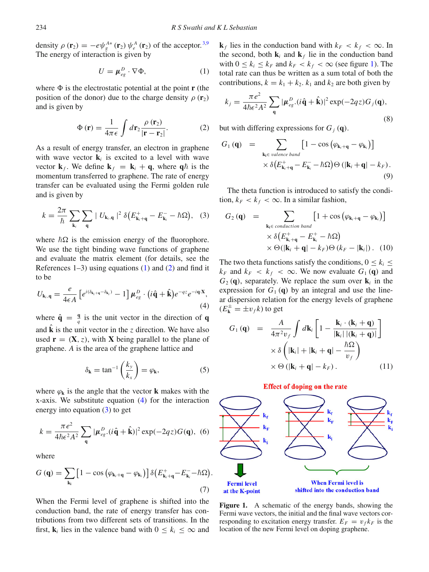density  $\rho(\mathbf{r}_2) = -e\psi_s^{A*}(\mathbf{r}_2)\psi_e^A(\mathbf{r}_2)$  of the acceptor.<sup>[3](#page-7-1)[,9](#page-7-7)</sup> The energy of interaction is given by

<span id="page-1-0"></span>
$$
U = \mu_{eg}^D \cdot \nabla \Phi,\tag{1}
$$

where  $\Phi$  is the electrostatic potential at the point **r** (the position of the donor) due to the charge density  $\rho(\mathbf{r}_2)$ and is given by

<span id="page-1-1"></span>
$$
\Phi(\mathbf{r}) = \frac{1}{4\pi\epsilon} \int d\mathbf{r}_2 \frac{\rho(\mathbf{r}_2)}{|\mathbf{r} - \mathbf{r}_2|}.
$$
 (2)

As a result of energy transfer, an electron in graphene with wave vector  $\mathbf{k}_i$  is excited to a level with wave vector  $\mathbf{k}_f$ . We define  $\mathbf{k}_f = \mathbf{k}_i + \mathbf{q}$ , where  $\mathbf{q} \hbar$  is the momentum transferred to graphene. The rate of energy transfer can be evaluated using the Fermi golden rule and is given by

<span id="page-1-3"></span>
$$
k = \frac{2\pi}{\hbar} \sum_{\mathbf{k}_i} \sum_{\mathbf{q}} |U_{\mathbf{k}_i, \mathbf{q}}|^2 \, \delta \big( E_{\mathbf{k}_i + \mathbf{q}}^+ - E_{\mathbf{k}_i}^- - \hbar \Omega \big), \quad (3)
$$

where  $\hbar\Omega$  is the emission energy of the fluorophore. We use the tight binding wave functions of graphene and evaluate the matrix element (for details, see the References  $1-3$ ) using equations  $(1)$  and  $(2)$  and find it to be

<span id="page-1-2"></span>
$$
U_{\mathbf{k}_i,\mathbf{q}} = \frac{e}{4\epsilon A} \left[ e^{i(\delta_{\mathbf{k}_i+\mathbf{q}} - \delta_{\mathbf{k}_i})} - 1 \right] \mu_{eg}^D \cdot (i\,\hat{\mathbf{q}} + \hat{\mathbf{k}}) e^{-qz} e^{-i\mathbf{q}\cdot\mathbf{X}},\tag{4}
$$

where  $\hat{\mathbf{q}} = \frac{\mathbf{q}}{q}$  is the unit vector in the direction of **q** and  $\hat{\bf k}$  is the unit vector in the *z* direction. We have also used  $\mathbf{r} = (\mathbf{X}, z)$ , with **X** being parallel to the plane of graphene. *A* is the area of the graphene lattice and

$$
\delta_{\mathbf{k}} = \tan^{-1}\left(\frac{k_y}{k_x}\right) = \varphi_{\mathbf{k}},\tag{5}
$$

where  $\varphi_k$  is the angle that the vector **k** makes with the x-axis. We substitute equation [\(4\)](#page-1-2) for the interaction energy into equation [\(3\)](#page-1-3) to get

$$
k = \frac{\pi e^2}{4\hbar \epsilon^2 A^2} \sum_{\mathbf{q}} |\mu_{eg}^D \cdot (i\hat{\mathbf{q}} + \hat{\mathbf{k}})|^2 \exp(-2qz) G(\mathbf{q}), \tag{6}
$$

where

$$
G(\mathbf{q}) = \sum_{\mathbf{k}_i} \left[ 1 - \cos \left( \varphi_{\mathbf{k}_i + \mathbf{q}} - \varphi_{\mathbf{k}_i} \right) \right] \delta \left( E_{\mathbf{k}_i + \mathbf{q}}^+ - E_{\mathbf{k}_i}^- - \hbar \Omega \right).
$$
\n(7)

When the Fermi level of graphene is shifted into the conduction band, the rate of energy transfer has contributions from two different sets of transitions. In the first,  $\mathbf{k}_i$  lies in the valence band with  $0 \leq k_i \leq \infty$  and **k**<sub>*f*</sub> lies in the conduction band with  $k_F < k_f < \infty$ . In the second, both  $\mathbf{k}_i$  and  $\mathbf{k}_f$  lie in the conduction band with  $0 \le k_i \le k_F$  and  $k_F < k_f < \infty$  (see figure [1\)](#page-1-4). The total rate can thus be written as a sum total of both the contributions,  $k = k_1 + k_2$ .  $k_1$  and  $k_2$  are both given by

<span id="page-1-5"></span>
$$
k_j = \frac{\pi e^2}{4\hbar \epsilon^2 A^2} \sum_{\mathbf{q}} |\boldsymbol{\mu}_{eg}^D \cdot (\hat{i}\hat{\mathbf{q}} + \hat{\mathbf{k}})|^2 \exp(-2qz) G_j(\mathbf{q}),
$$
\n(8)

but with differing expressions for  $G_i$  (**q**).

$$
G_1(\mathbf{q}) = \sum_{\mathbf{k_i} \in \text{ valence band}} [1 - \cos (\varphi_{\mathbf{k}_i + \mathbf{q}} - \varphi_{\mathbf{k}_i})] \times \delta (E_{\mathbf{k}_i + \mathbf{q}}^+ - E_{\mathbf{k}_i}^- - \hbar \Omega) \Theta (|\mathbf{k}_i + \mathbf{q}| - k_F).
$$
\n(9)

The theta function is introduced to satisfy the condition,  $k_F < k_f < \infty$ . In a similar fashion,

<span id="page-1-6"></span>
$$
G_2(\mathbf{q}) = \sum_{\mathbf{k_i} \in \text{conduction band}} [1 + \cos (\varphi_{\mathbf{k}_i + \mathbf{q}} - \varphi_{\mathbf{k}_i})]
$$
  
 
$$
\times \delta (E_{\mathbf{k}_i + \mathbf{q}}^+ - E_{\mathbf{k}_i}^+ - \hbar \Omega)
$$
  
 
$$
\times \Theta(|\mathbf{k}_i + \mathbf{q}| - k_F) \Theta (k_F - |\mathbf{k}_i|) . \quad (10)
$$

The two theta functions satisfy the conditions,  $0 \leq k_i \leq$  $k_F$  and  $k_F < k_f < \infty$ . We now evaluate  $G_1(\mathbf{q})$  and  $G_2$  (q), separately. We replace the sum over  $\mathbf{k}_i$  in the expression for  $G_1(\mathbf{q})$  by an integral and use the linear dispersion relation for the energy levels of graphene  $(E_{\mathbf{k}}^{\pm} = \pm v_f k)$  to get

$$
G_1(\mathbf{q}) = \frac{A}{4\pi^2 v_f} \int d\mathbf{k}_i \left[ 1 - \frac{\mathbf{k}_i \cdot (\mathbf{k}_i + \mathbf{q})}{|\mathbf{k}_i| |(\mathbf{k}_i + \mathbf{q})|} \right] \times \delta \left( |\mathbf{k}_i| + |\mathbf{k}_i + \mathbf{q}| - \frac{\hbar \Omega}{v_f} \right) \times \Theta \left( |\mathbf{k}_i + \mathbf{q}| - k_F \right). \tag{11}
$$



<span id="page-1-4"></span>

Figure 1. A schematic of the energy bands, showing the Fermi wave vectors, the initial and the final wave vectors corresponding to excitation energy transfer.  $E_F = v_f k_F$  is the location of the new Fermi level on doping graphene.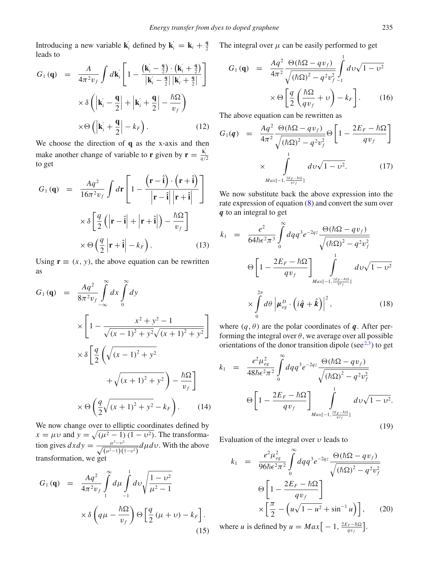Introducing a new variable **k**<sup>*i*</sup> defined by **k**<sup>*i*</sup> = **k**<sub>*i*</sub> +  $\frac{9}{2}$ leads to

$$
G_1(\mathbf{q}) = \frac{A}{4\pi^2 v_f} \int d\mathbf{k}'_i \left[ 1 - \frac{(\mathbf{k}'_i - \frac{\mathbf{q}}{2}) \cdot (\mathbf{k}'_i + \frac{\mathbf{q}}{2})}{|\mathbf{k}'_i - \frac{\mathbf{q}}{2}| |\mathbf{k}'_i + \frac{\mathbf{q}}{2}|} \right] \times \delta \left( |\mathbf{k}'_i - \frac{\mathbf{q}}{2}| + |\mathbf{k}'_i + \frac{\mathbf{q}}{2}| - \frac{\hbar \Omega}{v_f} \right) \times \Theta \left( |\mathbf{k}'_i + \frac{\mathbf{q}}{2}| - k_F \right). \tag{12}
$$

We choose the direction of **q** as the x-axis and then make another change of variable to **r** given by  $\mathbf{r} = \frac{\mathbf{k}'_i}{q/2}$ to get

$$
G_1(\mathbf{q}) = \frac{Aq^2}{16\pi^2 v_f} \int d\mathbf{r} \left[ 1 - \frac{(\mathbf{r} - \hat{\mathbf{i}}) \cdot (\mathbf{r} + \hat{\mathbf{i}})}{|\mathbf{r} - \hat{\mathbf{i}}||\mathbf{r} + \hat{\mathbf{i}}|} \right]
$$

$$
\times \delta \left[ \frac{q}{2} (|\mathbf{r} - \hat{\mathbf{i}}| + |\mathbf{r} + \hat{\mathbf{i}}|) - \frac{\hbar \Omega}{v_f} \right]
$$

$$
\times \Theta \left( \frac{q}{2} |\mathbf{r} + \hat{\mathbf{i}}| - k_F \right). \tag{13}
$$

Using  $\mathbf{r} \equiv (x, y)$ , the above equation can be rewritten as

$$
G_{1}(\mathbf{q}) = \frac{Aq^{2}}{8\pi^{2}v_{f}}\int_{-\infty}^{\infty}dx\int_{0}^{\infty}dy
$$
  

$$
\times \left[1 - \frac{x^{2} + y^{2} - 1}{\sqrt{(x - 1)^{2} + y^{2}}\sqrt{(x + 1)^{2} + y^{2}}}\right]
$$
  

$$
\times \delta \left[\frac{q}{2}\left(\sqrt{(x - 1)^{2} + y^{2}} + \sqrt{(x + 1)^{2} + y^{2}}\right) - \frac{\hbar\Omega}{v_{f}}\right]
$$
  

$$
\times \Theta \left(\frac{q}{2}\sqrt{(x + 1)^{2} + y^{2}} - k_{F}\right).
$$
 (14)

We now change over to elliptic coordinates defined by  $x = \mu v$  and  $y = \sqrt{(\mu^2 - 1)(1 - v^2)}$ . The transformation gives  $dx dy = \frac{\mu^2 - v^2}{\sqrt{(\mu^2 - 1)(1 - v^2)}} d\mu dv$ . With the above transformation, we get

$$
G_1(\mathbf{q}) = \frac{Aq^2}{4\pi^2 v_f} \int_{1}^{\infty} d\mu \int_{-1}^{1} dv \sqrt{\frac{1 - v^2}{\mu^2 - 1}}
$$

$$
\times \delta \left( q\mu - \frac{\hbar \Omega}{v_f} \right) \Theta \left[ \frac{q}{2} (\mu + v) - k_F \right].
$$
(15)

The integral over  $\mu$  can be easily performed to get

$$
G_1(\mathbf{q}) = \frac{Aq^2}{4\pi^2} \frac{\Theta(\hbar\Omega - qv_f)}{\sqrt{(\hbar\Omega)^2 - q^2v_f^2}} \int_{-1}^1 dv\sqrt{1 - v^2} \times \Theta \left[ \frac{q}{2} \left( \frac{\hbar\Omega}{qv_f} + v \right) - k_F \right].
$$
 (16)

The above equation can be rewritten as

$$
G_1(\boldsymbol{q}) = \frac{Aq^2}{4\pi^2} \frac{\Theta(\hbar\Omega - qv_f)}{\sqrt{(\hbar\Omega)^2 - q^2v_f^2}} \Theta \left[ 1 - \frac{2E_F - \hbar\Omega}{qv_f} \right]
$$
  
 
$$
\times \int_{Max[-1, \frac{2E_F - \hbar\Omega}{qv_f}]}^{1} dv \sqrt{1 - v^2}.
$$
 (17)

We now substitute back the above expression into the rate expression of equation [\(8\)](#page-1-5) and convert the sum over *q* to an integral to get

$$
k_1 = \frac{e^2}{64\hbar\epsilon^2\pi^3} \int_0^\infty dq q^3 e^{-2qz} \frac{\Theta(\hbar\Omega - qv_f)}{\sqrt{(\hbar\Omega)^2 - q^2v_f^2}}
$$
  

$$
\Theta \left[1 - \frac{2E_F - \hbar\Omega}{qv_f}\right] \int_{Max[-1, \frac{2E_F - \hbar\Omega}{qv_f}]}^1 dv \sqrt{1 - v^2}
$$
  

$$
\times \int_0^{2\pi} d\theta \left|\mu_{eg}^D \cdot \left(i\hat{q} + \hat{k}\right)\right|^2, \qquad (18)
$$

where  $(q, \theta)$  are the polar coordinates of *q*. After performing the integral over  $\theta$ , we average over all possible orientations of the donor transition dipole (see  $2,3$  $2,3$ ) to get

$$
k_1 = \frac{e^2 \mu_{eg}^2}{48\hbar \epsilon^2 \pi^2} \int_0^\infty dq q^3 e^{-2qz} \frac{\Theta(\hbar \Omega - qv_f)}{\sqrt{(\hbar \Omega)^2 - q^2 v_f^2}}
$$

$$
\Theta \left[ 1 - \frac{2E_F - \hbar \Omega}{qv_f} \right] \int_{Max[-1, \frac{2E_F - \hbar \Omega}{qv_f}]}^1 dv \sqrt{1 - v^2}.
$$
(19)

Evaluation of the integral over  $\nu$  leads to

$$
k_1 = \frac{e^2 \mu_{eg}^2}{96\hbar \epsilon^2 \pi^2} \int_0^\infty dq q^3 e^{-2qz} \frac{\Theta(\hbar \Omega - qv_f)}{\sqrt{(\hbar \Omega)^2 - q^2 v_f^2}}
$$

$$
\Theta \left[ 1 - \frac{2E_F - \hbar \Omega}{qv_f} \right]
$$

$$
\times \left[ \frac{\pi}{2} - \left( u\sqrt{1 - u^2} + \sin^{-1} u \right) \right], \qquad (20)
$$
where *u* is defined by  $u = Max \left[ -1, \frac{2E_F - \hbar \Omega}{qv_f} \right].$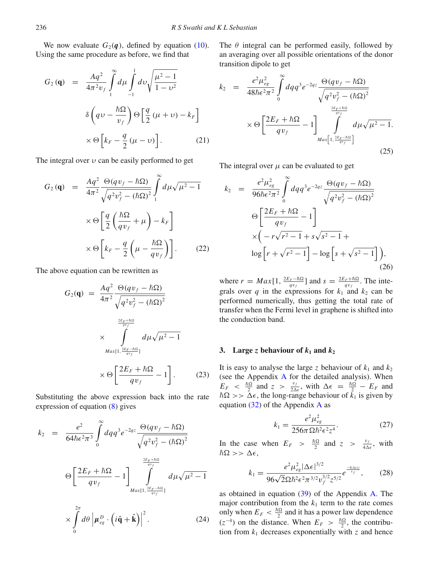We now evaluate  $G_2(q)$ , defined by equation [\(10\)](#page-1-6). Using the same procedure as before, we find that

$$
G_2(\mathbf{q}) = \frac{Aq^2}{4\pi^2 v_f} \int_{1}^{\infty} d\mu \int_{-1}^{1} dv \sqrt{\frac{\mu^2 - 1}{1 - v^2}}
$$

$$
\delta \left( qv - \frac{\hbar \Omega}{v_f} \right) \Theta \left[ \frac{q}{2} (\mu + v) - k_F \right]
$$

$$
\times \Theta \left[ k_F - \frac{q}{2} (\mu - v) \right].
$$
 (21)

The integral over  $\nu$  can be easily performed to get

$$
G_2(\mathbf{q}) = \frac{Aq^2}{4\pi^2} \frac{\Theta(qv_f - \hbar\Omega)}{\sqrt{q^2v_f^2 - (\hbar\Omega)^2}} \int_1^{\infty} d\mu \sqrt{\mu^2 - 1}
$$

$$
\times \Theta \left[ \frac{q}{2} \left( \frac{\hbar\Omega}{qv_f} + \mu \right) - k_F \right]
$$

$$
\times \Theta \left[ k_F - \frac{q}{2} \left( \mu - \frac{\hbar\Omega}{qv_f} \right) \right].
$$
 (22)

The above equation can be rewritten as

$$
G_2(\mathbf{q}) = \frac{Aq^2}{4\pi^2} \frac{\Theta(qv_f - \hbar\Omega)}{\sqrt{q^2v_f^2 - (\hbar\Omega)^2}}
$$
  

$$
\times \int_{Max[1, \frac{2E_F + \hbar\Omega}{qv_f}]}^{ \frac{2E_F + \hbar\Omega}{qv_f}} d\mu \sqrt{\mu^2 - 1}
$$
  

$$
\times \Theta \left[ \frac{2E_F + \hbar\Omega}{qv_f} - 1 \right].
$$
 (23)

Substituting the above expression back into the rate expression of equation [\(8\)](#page-1-5) gives

$$
k_2 = \frac{e^2}{64\hbar\epsilon^2\pi^3} \int_0^\infty dq q^3 e^{-2qz} \frac{\Theta(qv_f - \hbar\Omega)}{\sqrt{q^2v_f^2 - (\hbar\Omega)^2}}
$$

$$
\Theta \left[ \frac{2E_F + \hbar\Omega}{qv_f} - 1 \right] \int_{Max[1, \frac{2E_F - \hbar\Omega}{qv_f}]}^{\frac{2E_F + \hbar\Omega}{qv_f}} d\mu\sqrt{\mu^2 - 1}
$$

$$
\times \int_0^{2\pi} d\theta \left| \mu_{eg}^D \cdot \left(i\hat{\mathbf{q}} + \hat{\mathbf{k}}\right) \right|^2. \tag{24}
$$

The  $\theta$  integral can be performed easily, followed by an averaging over all possible orientations of the donor transition dipole to get

$$
k_2 = \frac{e^2 \mu_{eg}^2}{48\hbar \epsilon^2 \pi^2} \int_0^\infty dq q^3 e^{-2qz} \frac{\Theta(qv_f - \hbar \Omega)}{\sqrt{q^2 v_f^2 - (\hbar \Omega)^2}} \\
\times \Theta \left[ \frac{2E_F + \hbar \Omega}{qv_f} - 1 \right] \int_{Max \left[1, \frac{2E_F + \hbar \Omega}{qv_f} \right]}^{\frac{2E_F + \hbar \Omega}{qv_f}} d\mu \sqrt{\mu^2 - 1}.
$$
\n(25)

The integral over  $\mu$  can be evaluated to get

$$
k_2 = \frac{e^2 \mu_{eg}^2}{96\hbar \epsilon^2 \pi^2} \int_0^\infty dq q^3 e^{-2qz} \frac{\Theta(qv_f - \hbar \Omega)}{\sqrt{q^2 v_f^2 - (\hbar \Omega)^2}}
$$
  
\n
$$
\Theta \left[ \frac{2E_F + \hbar \Omega}{qv_f} - 1 \right]
$$
  
\n
$$
\times \left( -r\sqrt{r^2 - 1} + s\sqrt{s^2 - 1} + \log \left[ r + \sqrt{r^2 - 1} \right] - \log \left[ s + \sqrt{s^2 - 1} \right] \right),
$$
\n(26)

where  $r = Max[1, \frac{2E_F - \hbar\Omega}{qv_f}]$  and  $s = \frac{2E_F + \hbar\Omega}{qv_f}$ . The integrals over  $q$  in the expressions for  $k_1$  and  $k_2$  can be performed numerically, thus getting the total rate of transfer when the Fermi level in graphene is shifted into the conduction band.

#### **3.** Large *z* behaviour of  $k_1$  and  $k_2$

It is easy to analyse the large *z* behaviour of  $k_1$  and  $k_2$ (see the Appendix [A](#page-5-0) for the detailed analysis). When  $E_F \ll \frac{\hbar\Omega}{2}$  and  $z > \frac{v_f}{2\Delta\epsilon}$ , with  $\Delta\epsilon = \frac{\hbar\Omega}{2} - E_F$  and  $\hbar\Omega \gg \Delta\epsilon$ , the long-range behaviour of  $\tilde{k}_1$  is given by equation  $(32)$  of the [A](#page-5-0)ppendix A as

$$
k_1 = \frac{e^2 \mu_{eg}^2}{256\pi \Omega \hbar^2 \epsilon^2 z^4}.
$$
 (27)

In the case when  $E_F > \frac{\hbar\Omega}{2}$  and  $z > \frac{v_f}{4\Delta\epsilon}$ , with  $\hbar\Omega >> \Delta\epsilon,$ 

$$
k_1 = \frac{e^2 \mu_{eg}^2 |\Delta \epsilon|^{3/2}}{96\sqrt{2}\Omega \hbar^2 \epsilon^2 \pi^{3/2} v_f^{3/2} z^{5/2}} e^{\frac{-4|\Delta \epsilon|z}{v_f}},\qquad(28)
$$

as obtained in equation [\(39\)](#page-6-0) of the Appendix [A.](#page-5-0) The major contribution from the  $k_1$  term to the rate comes only when  $E_F < \frac{\hbar \Omega}{2}$  and it has a power law dependence  $(z^{-4})$  on the distance. When  $E_F > \frac{\hbar \Omega}{2}$ , the contribution from  $k_1$  decreases exponentially with  $\zeta$  and hence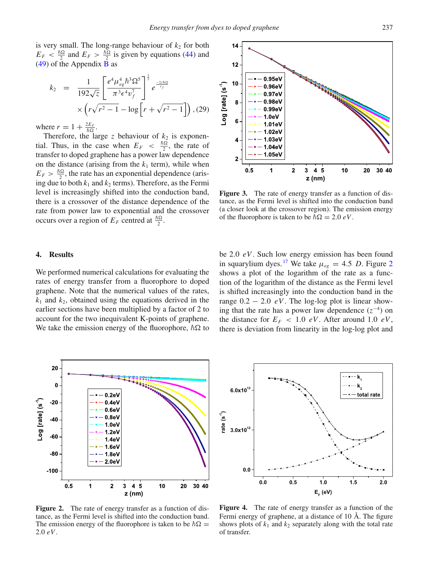is very small. The long-range behaviour of  $k_2$  for both  $E_F < \frac{\hbar \Omega}{2}$  and  $E_F > \frac{\hbar \Omega}{2}$  is given by equations [\(44\)](#page-7-16) and [\(49\)](#page-7-17) of the Appendix  $\overline{B}$  $\overline{B}$  $\overline{B}$  as

$$
k_2 = \frac{1}{192\sqrt{z}} \left[ \frac{e^4 \mu_{eg}^4 \hbar^3 \Omega^5}{\pi^3 \epsilon^4 v_f^7} \right]^{\frac{1}{2}} e^{\frac{-2z \hbar \Omega}{v_f}} \times \left( r \sqrt{r^2 - 1} - \log \left[ r + \sqrt{r^2 - 1} \right] \right), (29)
$$

where  $r = 1 + \frac{2E_F}{\hbar \Omega}$ .

Therefore, the large  $z$  behaviour of  $k_2$  is exponential. Thus, in the case when  $E_F < \frac{\hbar \Omega}{2}$ , the rate of transfer to doped graphene has a power law dependence on the distance (arising from the  $k_1$  term), while when  $E_F > \frac{\hbar \Omega}{2}$ , the rate has an exponential dependence (arising due to both  $k_1$  and  $k_2$  terms). Therefore, as the Fermi level is increasingly shifted into the conduction band, there is a crossover of the distance dependence of the rate from power law to exponential and the crossover occurs over a region of  $E_F$  centred at  $\frac{\hbar \Omega}{2}$ .

#### **4. Results**

We performed numerical calculations for evaluating the rates of energy transfer from a fluorophore to doped graphene. Note that the numerical values of the rates,  $k_1$  and  $k_2$ , obtained using the equations derived in the earlier sections have been multiplied by a factor of 2 to account for the two inequivalent K-points of graphene. We take the emission energy of the fluorophore,  $\hbar\Omega$  to

<span id="page-4-1"></span>

Figure 3. The rate of energy transfer as a function of distance, as the Fermi level is shifted into the conduction band (a closer look at the crossover region). The emission energy of the fluorophore is taken to be  $\hbar \Omega = 2.0 \, eV$ .

be 2.0 *eV*. Such low energy emission has been found in squarylium dyes.<sup>[17](#page-7-18)</sup> We take  $\mu_{ee} = 4.5$  *D*. Figure [2](#page-4-0) shows a plot of the logarithm of the rate as a function of the logarithm of the distance as the Fermi level is shifted increasingly into the conduction band in the range  $0.2 - 2.0$  *eV*. The log-log plot is linear showing that the rate has a power law dependence  $(z^{-4})$  on the distance for  $E_F$  < 1.0 *eV*. After around 1.0 *eV*, there is deviation from linearity in the log-log plot and

<span id="page-4-0"></span>

<span id="page-4-2"></span>--•-- k,  $\cdot \cdot \cdot \mathsf{k}_\flat$  $6.0x10^{12}$ - total rate rate  $(s^1)$  $3.0x10^{12}$  $0.0$  $0.5$  $0.0$  $1.0$  $1.5$  $2.0$  $E_c$  (eV)

Figure 2. The rate of energy transfer as a function of distance, as the Fermi level is shifted into the conduction band. The emission energy of the fluorophore is taken to be  $\hbar\Omega$  = 2.0 *eV*.

**Figure 4.** The rate of energy transfer as a function of the Fermi energy of graphene, at a distance of 10 Å. The figure shows plots of  $k_1$  and  $k_2$  separately along with the total rate of transfer.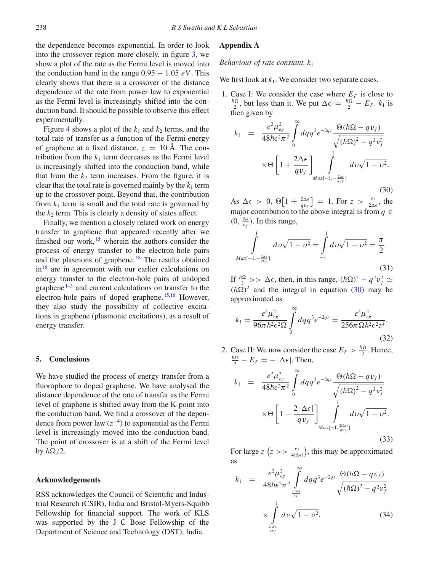the dependence becomes exponential. In order to look into the crossover region more closely, in figure [3,](#page-4-1) we show a plot of the rate as the Fermi level is moved into the conduction band in the range  $0.95 - 1.05 eV$ . This clearly shows that there is a crossover of the distance dependence of the rate from power law to exponential as the Fermi level is increasingly shifted into the conduction band. It should be possible to observe this effect experimentally.

Figure [4](#page-4-2) shows a plot of the  $k_1$  and  $k_2$  terms, and the total rate of transfer as a function of the Fermi energy of graphene at a fixed distance,  $z = 10 \text{ Å}$ . The contribution from the  $k_1$  term decreases as the Fermi level is increasingly shifted into the conduction band, while that from the  $k_2$  term increases. From the figure, it is clear that the total rate is governed mainly by the  $k_1$  term up to the crossover point. Beyond that, the contribution from  $k_1$  term is small and the total rate is governed by the  $k_2$  term. This is clearly a density of states effect.

Finally, we mention a closely related work on energy transfer to graphene that appeared recently after we finished our work,  $15$  wherein the authors consider the process of energy transfer to the electron-hole pairs and the plasmons of graphene.<sup>[18](#page-7-19)</sup> The results obtained  $in^{18}$  are in agreement with our earlier calculations on energy transfer to the electron-hole pairs of undoped graphene $1-3$  $1-3$  and current calculations on transfer to the electron-hole pairs of doped graphene. [15](#page-7-13)[,16](#page-7-14) However, they also study the possibility of collective excitations in graphene (plasmonic excitations), as a result of energy transfer.

#### **5. Conclusions**

We have studied the process of energy transfer from a fluorophore to doped graphene. We have analysed the distance dependence of the rate of transfer as the Fermi level of graphene is shifted away from the K-point into the conduction band. We find a crossover of the dependence from power law (*z*<sup>−</sup>4) to exponential as the Fermi level is increasingly moved into the conduction band. The point of crossover is at a shift of the Fermi level by  $\hbar\Omega/2$ .

#### **Acknowledgements**

RSS acknowledges the Council of Scientific and Industrial Research (CSIR), India and Bristol-Myers-Squibb Fellowship for financial support. The work of KLS was supported by the J C Bose Fellowship of the Department of Science and Technology (DST), India.

## <span id="page-5-0"></span>**Appendix A**

#### *Behaviour of rate constant, k*<sup>1</sup>

We first look at  $k_1$ . We consider two separate cases.

1. Case I: We consider the case where  $E_F$  is close to  $\frac{\hbar\Omega}{2}$ , but less than it. We put  $\Delta \epsilon = \frac{\hbar\Omega}{2} - E_F$ .  $k_1$  is then given by

<span id="page-5-2"></span>
$$
k_1 = \frac{e^2 \mu_{eg}^2}{48\hbar \epsilon^2 \pi^2} \int_0^\infty dq q^3 e^{-2qz} \frac{\Theta(\hbar \Omega - qv_f)}{\sqrt{(\hbar \Omega)^2 - q^2 v_f^2}} \times \Theta \left[1 + \frac{2\Delta \epsilon}{qv_f}\right]_{\text{Max}\{-1, -\frac{2\Delta \epsilon}{qv_f}\}} d\upsilon \sqrt{1 - \upsilon^2}.
$$
\n(30)

As  $\Delta \epsilon > 0$ ,  $\Theta \left[ 1 + \frac{2\Delta \epsilon}{qv_f} \right] = 1$ . For  $z > \frac{v_f}{2\Delta \epsilon}$ , the major contribution to the above integral is from  $q \in$  $(0, \frac{\Delta \epsilon}{v_f})$ . In this range,

$$
\int_{Max[-1,-\frac{2\Delta\epsilon}{qv_1}]}^{1} dv \sqrt{1-v^2} = \int_{-1}^{1} dv \sqrt{1-v^2} = \frac{\pi}{2}.
$$
\n(31)

If  $\frac{\hbar\Omega}{2} >> \Delta\epsilon$ , then, in this range,  $(\hbar\Omega)^2 - q^2v_f^2 \simeq$  $(\hbar \Omega)^2$  and the integral in equation [\(30\)](#page-5-2) may be approximated as

<span id="page-5-1"></span>
$$
k_1 = \frac{e^2 \mu_{eg}^2}{96\pi \hbar^2 \epsilon^2 \Omega} \int_0^\infty dq q^3 e^{-2qz} = \frac{e^2 \mu_{eg}^2}{256\pi \Omega \hbar^2 \epsilon^2 z^4}.
$$
\n(32)

2. Case II: We now consider the case  $E_F > \frac{\hbar \Omega}{2}$ . Hence,  $\frac{\hbar\Omega}{2} - E_F = - |\Delta \epsilon|$ . Then,

$$
k_1 = \frac{e^2 \mu_{eg}^2}{48\hbar \epsilon^2 \pi^2} \int_0^\infty dq q^3 e^{-2qz} \frac{\Theta(\hbar \Omega - qv_f)}{\sqrt{(\hbar \Omega)^2 - q^2 v_f^2}} \times \Theta \left[1 - \frac{2 |\Delta \epsilon|}{qv_f}\right] \int_{Max[-1, \frac{2|\Delta \epsilon|}{qv_f}]}^1 dv \sqrt{1 - v^2}.
$$
\n(33)

For large  $z(z)$   $\frac{v_f}{4|\Delta\epsilon|}$ , this may be approximated as

$$
k_1 = \frac{e^2 \mu_{eg}^2}{48\hbar \epsilon^2 \pi^2} \int_{\frac{2|\Delta\epsilon|}{v_f}}^{\infty} dq q^3 e^{-2qz} \frac{\Theta(\hbar \Omega - qv_f)}{\sqrt{(\hbar \Omega)^2 - q^2 v_f^2}} \times \int_{\frac{2|\Delta\epsilon|}{qv_f}}^1 dv \sqrt{1 - v^2}.
$$
 (34)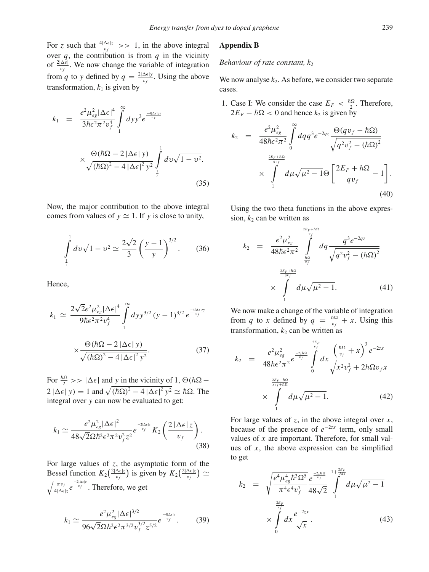For *z* such that  $\frac{4|\Delta \epsilon|z}{v_f}$  >> 1, in the above integral over  $q$ , the contribution is from  $q$  in the vicinity of  $\frac{2|\Delta\epsilon|}{v_f}$ . We now change the variable of integration from *q* to *y* defined by  $q = \frac{2|\Delta \epsilon| y}{v_f}$ . Using the above transformation,  $k_1$  is given by

$$
k_1 = \frac{e^2 \mu_{eg}^2 |\Delta \epsilon|^4}{3\hbar \epsilon^2 \pi^2 v_f^4} \int\limits_{1}^{\infty} dy y^3 e^{\frac{-4|\Delta \epsilon| y}{v_f}}
$$
  

$$
\times \frac{\Theta(\hbar \Omega - 2 |\Delta \epsilon| y)}{\sqrt{(\hbar \Omega)^2 - 4 |\Delta \epsilon|^2 y^2}} \int\limits_{\frac{1}{y}}^{1} dv \sqrt{1 - v^2}.
$$
 (35)

Now, the major contribution to the above integral comes from values of  $y \approx 1$ . If y is close to unity,

$$
\int_{\frac{1}{y}}^{1} dv \sqrt{1 - v^2} \simeq \frac{2\sqrt{2}}{3} \left(\frac{y - 1}{y}\right)^{3/2}.
$$
 (36)

Hence,

$$
k_1 \simeq \frac{2\sqrt{2}e^2\mu_{eg}^2|\Delta\epsilon|^4}{9\hbar\epsilon^2\pi^2v_f^4} \int\limits_{1}^{\infty} dy y^{3/2} (y-1)^{3/2} e^{\frac{-4|\Delta\epsilon|zy}{v_f}}
$$

$$
\times \frac{\Theta(\hbar\Omega - 2|\Delta\epsilon|y)}{\sqrt{(\hbar\Omega)^2 - 4|\Delta\epsilon|^2 y^2}}.
$$
(37)

For  $\frac{\hbar\Omega}{2}$  >>  $|\Delta\epsilon|$  and *y* in the vicinity of 1,  $\Theta(\hbar\Omega 2 |\Delta \epsilon| y$  = 1 and  $\sqrt{(\hbar \Omega)^2 - 4 |\Delta \epsilon|^2 y^2} \simeq \hbar \Omega$ . The integral over *y* can now be evaluated to get:

$$
k_1 \simeq \frac{e^2 \mu_{eg}^2 |\Delta \epsilon|^2}{48\sqrt{2}\Omega \hbar^2 \epsilon^2 \pi^2 v_f^2 z^2} e^{\frac{-2|\Delta \epsilon|z}{v_f}} K_2 \left(\frac{2|\Delta \epsilon|z}{v_f}\right). \tag{38}
$$

For large values of *z*, the asymptotic form of the Bessel function  $K_2\left(\frac{2|\Delta\epsilon|z}{v_f}\right)$  is given by  $K_2\left(\frac{2|\Delta\epsilon|z}{v_f}\right) \simeq$  $\sqrt{\frac{\pi v_f}{4|\Delta\epsilon|z}}e^{\frac{-2|\Delta\epsilon|z}{v_f}}$ . Therefore, we get

<span id="page-6-0"></span>
$$
k_1 \simeq \frac{e^2 \mu_{eg}^2 |\Delta \epsilon|^{3/2}}{96\sqrt{2}\Omega \hbar^2 \epsilon^2 \pi^{3/2} v_f^{3/2} z^{5/2}} e^{\frac{-4|\Delta \epsilon| z}{v_f}}.
$$
 (39)

## <span id="page-6-1"></span>**Appendix B**

#### *Behaviour of rate constant,*  $k<sub>2</sub>$

We now analyse  $k_2$ . As before, we consider two separate cases.

1. Case I: We consider the case  $E_F < \frac{\hbar \Omega}{2}$ . Therefore,  $2E_F - \hbar \Omega < 0$  and hence  $k_2$  is given by

$$
k_2 = \frac{e^2 \mu_{eg}^2}{48\hbar \epsilon^2 \pi^2} \int_0^\infty dq q^3 e^{-2qz} \frac{\Theta(qv_f - \hbar \Omega)}{\sqrt{q^2 v_f^2 - (\hbar \Omega)^2}} \times \int_1^{\frac{2E_F + \hbar \Omega}{qv_f}} d\mu \sqrt{\mu^2 - 1} \Theta \left[ \frac{2E_F + \hbar \Omega}{qv_f} - 1 \right].
$$
\n(40)

Using the two theta functions in the above expression,  $k_2$  can be written as

$$
k_2 = \frac{e^2 \mu_{eg}^2}{48\hbar \epsilon^2 \pi^2} \int_{\frac{\hbar \Omega}{v_f}}^{\frac{2E_F + \hbar \Omega}{v_f}} dq \frac{q^3 e^{-2qz}}{\sqrt{q^2 v_f^2 - (\hbar \Omega)^2}}
$$

$$
\times \int_{1}^{\frac{2E_F + \hbar \Omega}{qv_f}} d\mu \sqrt{\mu^2 - 1}.
$$
(41)

We now make a change of the variable of integration from *q* to *x* defined by  $q = \frac{\hbar \Omega}{v_f} + x$ . Using this transformation,  $k_2$  can be written as

$$
k_2 = \frac{e^2 \mu_{eg}^2}{48\hbar \epsilon^2 \pi^2} e^{\frac{-2z\hbar\Omega}{v_f}} \int_0^{\frac{2E_F}{v_f}} dx \frac{\left(\frac{\hbar\Omega}{v_f} + x\right)^3 e^{-2zx}}{\sqrt{x^2 v_f^2 + 2\hbar \Omega v_f x}}
$$

$$
\times \int_1^{\frac{2E_F + \hbar\Omega}{xv_f + \hbar\Omega}} d\mu \sqrt{\mu^2 - 1}.
$$
(42)

For large values of *z*, in the above integral over *x*, because of the presence of *e*<sup>−</sup>2*zx* term, only small values of *x* are important. Therefore, for small values of *x*, the above expression can be simplified to get

$$
k_2 = \sqrt{\frac{e^4 \mu_{eg}^4 \hbar^3 \Omega^5}{\pi^4 \epsilon^4 v_f^7}} \frac{e^{\frac{-2z\hbar\Omega}{v_f}}}{48\sqrt{2}} \int_{1}^{1 + \frac{2E_F}{\hbar\Omega}} d\mu \sqrt{\mu^2 - 1} \times \int_{0}^{\frac{2E_F}{v_f}} dx \frac{e^{-2zx}}{\sqrt{x}}.
$$
 (43)